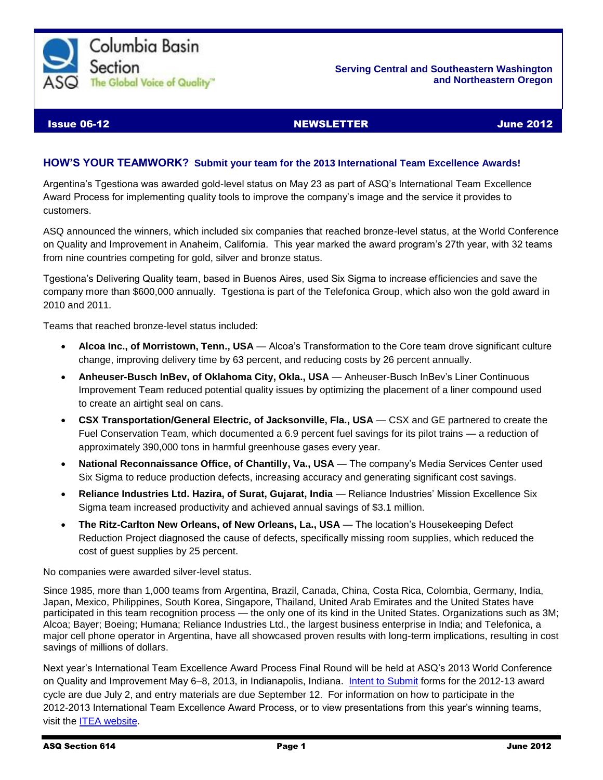

#### **Serving Central and Southeastern Washington and Northeastern Oregon**

### Issue 06-12 NEWSLETTER June 2012

### **HOW'S YOUR TEAMWORK? Submit your team for the 2013 International Team Excellence Awards!**

Argentina's Tgestiona was awarded gold-level status on May 23 as part of ASQ's International Team Excellence Award Process for implementing quality tools to improve the company's image and the service it provides to customers.

ASQ announced the winners, which included six companies that reached bronze-level status, at the World Conference on Quality and Improvement in Anaheim, California. This year marked the award program's 27th year, with 32 teams from nine countries competing for gold, silver and bronze status.

Tgestiona's Delivering Quality team, based in Buenos Aires, used Six Sigma to increase efficiencies and save the company more than \$600,000 annually. Tgestiona is part of the Telefonica Group, which also won the gold award in 2010 and 2011.

Teams that reached bronze-level status included:

- **Alcoa Inc., of Morristown, Tenn., USA** Alcoa's Transformation to the Core team drove significant culture change, improving delivery time by 63 percent, and reducing costs by 26 percent annually.
- **Anheuser-Busch InBev, of Oklahoma City, Okla., USA** Anheuser-Busch InBev's Liner Continuous Improvement Team reduced potential quality issues by optimizing the placement of a liner compound used to create an airtight seal on cans.
- **CSX Transportation/General Electric, of Jacksonville, Fla., USA** CSX and GE partnered to create the Fuel Conservation Team, which documented a 6.9 percent fuel savings for its pilot trains — a reduction of approximately 390,000 tons in harmful greenhouse gases every year.
- **National Reconnaissance Office, of Chantilly, Va., USA** The company's Media Services Center used Six Sigma to reduce production defects, increasing accuracy and generating significant cost savings.
- **Reliance Industries Ltd. Hazira, of Surat, Gujarat, India** Reliance Industries' Mission Excellence Six Sigma team increased productivity and achieved annual savings of \$3.1 million.
- **The Ritz-Carlton New Orleans, of New Orleans, La., USA** The location's Housekeeping Defect Reduction Project diagnosed the cause of defects, specifically missing room supplies, which reduced the cost of guest supplies by 25 percent.

No companies were awarded silver-level status.

Since 1985, more than 1,000 teams from Argentina, Brazil, Canada, China, Costa Rica, Colombia, Germany, India, Japan, Mexico, Philippines, South Korea, Singapore, Thailand, United Arab Emirates and the United States have participated in this team recognition process — the only one of its kind in the United States. Organizations such as 3M; Alcoa; Bayer; Boeing; Humana; Reliance Industries Ltd., the largest business enterprise in India; and Telefonica, a major cell phone operator in Argentina, have all showcased proven results with long-term implications, resulting in cost savings of millions of dollars.

Next year's International Team Excellence Award Process Final Round will be held at ASQ's 2013 World Conference on Quality and Improvement May 6–8, 2013, in Indianapolis, Indiana. [Intent to Submit](https://secure.asq.org/conferences/wcqi-2012/intent-to-submit.html) forms for the 2012-13 award cycle are due July 2, and entry materials are due September 12. For information on how to participate in the 2012-2013 International Team Excellence Award Process, or to view presentations from this year's winning teams, visit the [ITEA website.](http://wcqi.asq.org/team-competition/presentations.html)